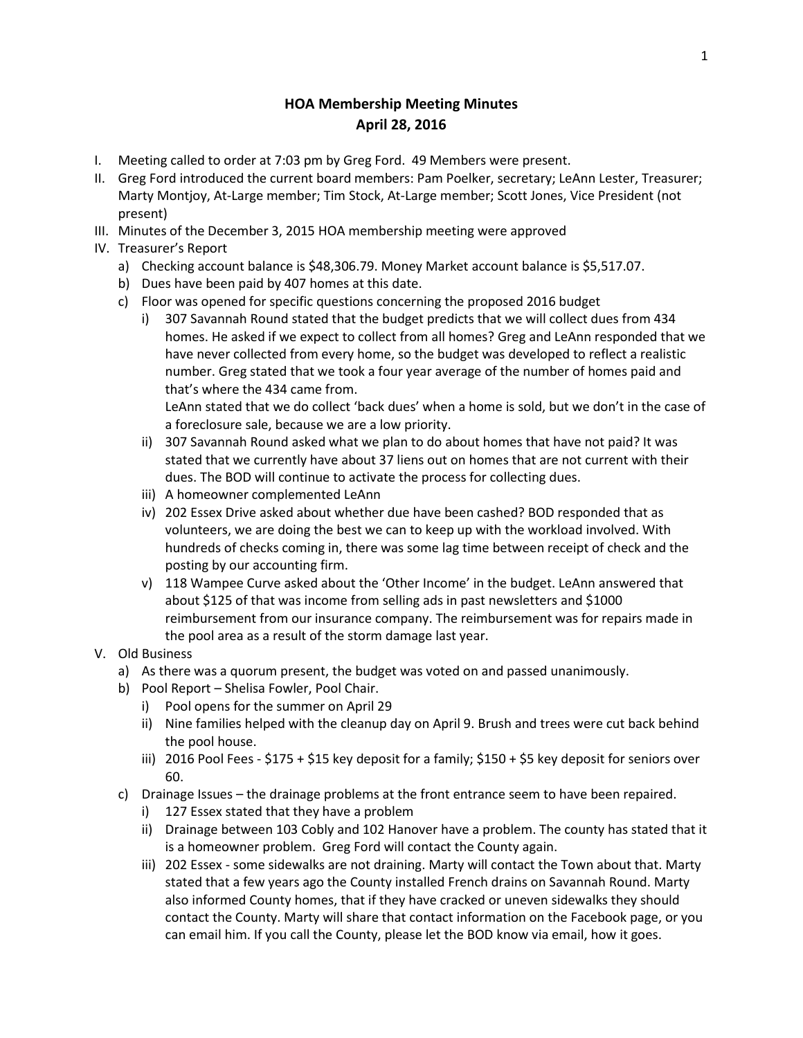## **HOA Membership Meeting Minutes April 28, 2016**

- I. Meeting called to order at 7:03 pm by Greg Ford. 49 Members were present.
- II. Greg Ford introduced the current board members: Pam Poelker, secretary; LeAnn Lester, Treasurer; Marty Montjoy, At-Large member; Tim Stock, At-Large member; Scott Jones, Vice President (not present)
- III. Minutes of the December 3, 2015 HOA membership meeting were approved
- IV. Treasurer's Report
	- a) Checking account balance is \$48,306.79. Money Market account balance is \$5,517.07.
	- b) Dues have been paid by 407 homes at this date.
	- c) Floor was opened for specific questions concerning the proposed 2016 budget
		- i) 307 Savannah Round stated that the budget predicts that we will collect dues from 434 homes. He asked if we expect to collect from all homes? Greg and LeAnn responded that we have never collected from every home, so the budget was developed to reflect a realistic number. Greg stated that we took a four year average of the number of homes paid and that's where the 434 came from.

LeAnn stated that we do collect 'back dues' when a home is sold, but we don't in the case of a foreclosure sale, because we are a low priority.

- ii) 307 Savannah Round asked what we plan to do about homes that have not paid? It was stated that we currently have about 37 liens out on homes that are not current with their dues. The BOD will continue to activate the process for collecting dues.
- iii) A homeowner complemented LeAnn
- iv) 202 Essex Drive asked about whether due have been cashed? BOD responded that as volunteers, we are doing the best we can to keep up with the workload involved. With hundreds of checks coming in, there was some lag time between receipt of check and the posting by our accounting firm.
- v) 118 Wampee Curve asked about the 'Other Income' in the budget. LeAnn answered that about \$125 of that was income from selling ads in past newsletters and \$1000 reimbursement from our insurance company. The reimbursement was for repairs made in the pool area as a result of the storm damage last year.
- V. Old Business
	- a) As there was a quorum present, the budget was voted on and passed unanimously.
	- b) Pool Report Shelisa Fowler, Pool Chair.
		- i) Pool opens for the summer on April 29
		- ii) Nine families helped with the cleanup day on April 9. Brush and trees were cut back behind the pool house.
		- iii) 2016 Pool Fees \$175 + \$15 key deposit for a family; \$150 + \$5 key deposit for seniors over 60.
	- c) Drainage Issues the drainage problems at the front entrance seem to have been repaired.
		- i) 127 Essex stated that they have a problem
		- ii) Drainage between 103 Cobly and 102 Hanover have a problem. The county has stated that it is a homeowner problem. Greg Ford will contact the County again.
		- iii) 202 Essex some sidewalks are not draining. Marty will contact the Town about that. Marty stated that a few years ago the County installed French drains on Savannah Round. Marty also informed County homes, that if they have cracked or uneven sidewalks they should contact the County. Marty will share that contact information on the Facebook page, or you can email him. If you call the County, please let the BOD know via email, how it goes.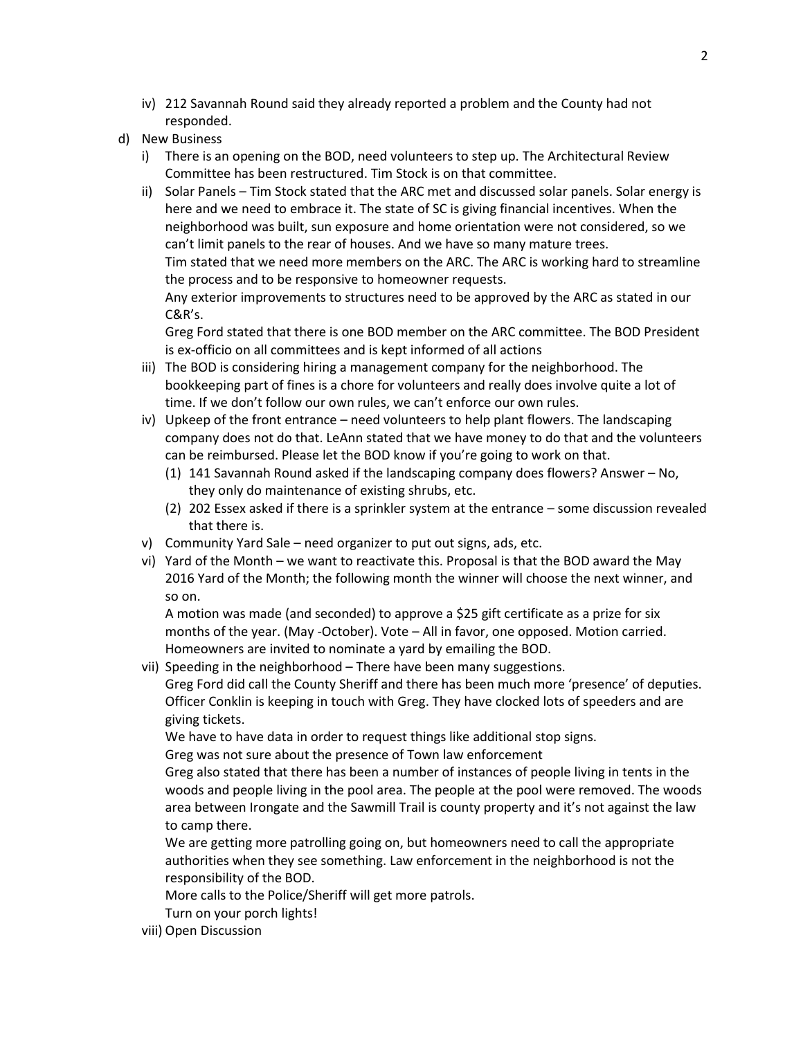- iv) 212 Savannah Round said they already reported a problem and the County had not responded.
- d) New Business
	- i) There is an opening on the BOD, need volunteers to step up. The Architectural Review Committee has been restructured. Tim Stock is on that committee.
	- ii) Solar Panels Tim Stock stated that the ARC met and discussed solar panels. Solar energy is here and we need to embrace it. The state of SC is giving financial incentives. When the neighborhood was built, sun exposure and home orientation were not considered, so we can't limit panels to the rear of houses. And we have so many mature trees. Tim stated that we need more members on the ARC. The ARC is working hard to streamline the process and to be responsive to homeowner requests.

Any exterior improvements to structures need to be approved by the ARC as stated in our C&R's.

Greg Ford stated that there is one BOD member on the ARC committee. The BOD President is ex-officio on all committees and is kept informed of all actions

- iii) The BOD is considering hiring a management company for the neighborhood. The bookkeeping part of fines is a chore for volunteers and really does involve quite a lot of time. If we don't follow our own rules, we can't enforce our own rules.
- iv) Upkeep of the front entrance need volunteers to help plant flowers. The landscaping company does not do that. LeAnn stated that we have money to do that and the volunteers can be reimbursed. Please let the BOD know if you're going to work on that.
	- (1) 141 Savannah Round asked if the landscaping company does flowers? Answer No, they only do maintenance of existing shrubs, etc.
	- (2) 202 Essex asked if there is a sprinkler system at the entrance some discussion revealed that there is.
- v) Community Yard Sale need organizer to put out signs, ads, etc.
- vi) Yard of the Month we want to reactivate this. Proposal is that the BOD award the May 2016 Yard of the Month; the following month the winner will choose the next winner, and so on.

A motion was made (and seconded) to approve a \$25 gift certificate as a prize for six months of the year. (May -October). Vote – All in favor, one opposed. Motion carried. Homeowners are invited to nominate a yard by emailing the BOD.

vii) Speeding in the neighborhood – There have been many suggestions. Greg Ford did call the County Sheriff and there has been much more 'presence' of deputies. Officer Conklin is keeping in touch with Greg. They have clocked lots of speeders and are giving tickets.

We have to have data in order to request things like additional stop signs.

Greg was not sure about the presence of Town law enforcement

Greg also stated that there has been a number of instances of people living in tents in the woods and people living in the pool area. The people at the pool were removed. The woods area between Irongate and the Sawmill Trail is county property and it's not against the law to camp there.

We are getting more patrolling going on, but homeowners need to call the appropriate authorities when they see something. Law enforcement in the neighborhood is not the responsibility of the BOD.

More calls to the Police/Sheriff will get more patrols.

Turn on your porch lights!

viii) Open Discussion